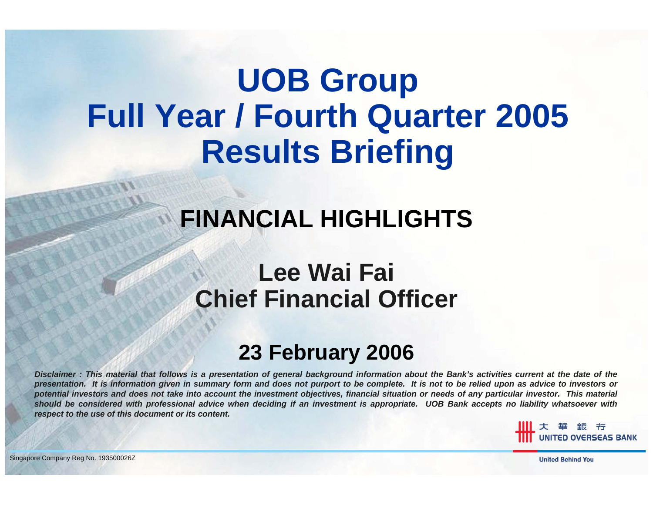# **UOB Group Full Year / Fourth Quarter 2005 Results Briefing**

### **FINANCIAL HIGHLIGHTS**

### **Lee Wai Fai Chief Financial Officer**

### **23 February 2006**

*Disclaimer : This material that follows is a presentation of general background information about the Bank's activities current at the date of the presentation. It is information given in summary form and does not purport to be complete. It is not to be relied upon as advice to investors or potential investors and does not take into account the investment objectives, financial situation or needs of any particular investor. This material should be considered with professional advice when deciding if an investment is appropriate. UOB Bank accepts no liability whatsoever with respect to the use of this document or its content.*

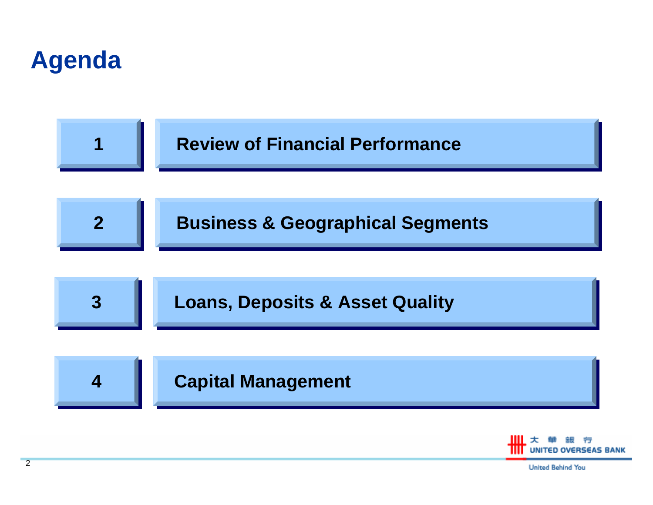



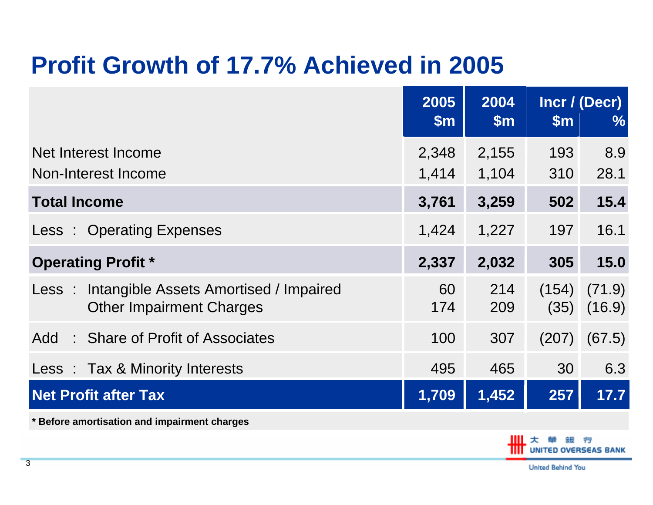### **Profit Growth of 17.7% Achieved in 2005**

|                                                                                 | 2005          | 2004          | Incr / (Decr) |                  |  |
|---------------------------------------------------------------------------------|---------------|---------------|---------------|------------------|--|
|                                                                                 | $\mathsf{Sm}$ | $\mathsf{Sm}$ | $\mathsf{Sm}$ | $\frac{9}{6}$    |  |
| Net Interest Income                                                             | 2,348         | 2,155         | 193           | 8.9              |  |
| Non-Interest Income                                                             | 1,414         | 1,104         | 310           | 28.1             |  |
| <b>Total Income</b>                                                             | 3,761         | 3,259         | 502           | 15.4             |  |
| Less: Operating Expenses                                                        | 1,424         | 1,227         | 197           | 16.1             |  |
| <b>Operating Profit *</b>                                                       | 2,337         | 2,032         | 305           | 15.0             |  |
| Less: Intangible Assets Amortised / Impaired<br><b>Other Impairment Charges</b> | 60<br>174     | 214<br>209    | (154)<br>(35) | (71.9)<br>(16.9) |  |
| Add: Share of Profit of Associates                                              | 100           | 307           | (207)         | (67.5)           |  |
| Less : Tax & Minority Interests                                                 | 495           | 465           | 30            | 6.3              |  |
| <b>Net Profit after Tax</b>                                                     | 1,709         | 1,452         | 257           | 17.7             |  |
| * Before amortisation and impairment charges                                    |               |               |               |                  |  |

**TED OVERSEAS BANK**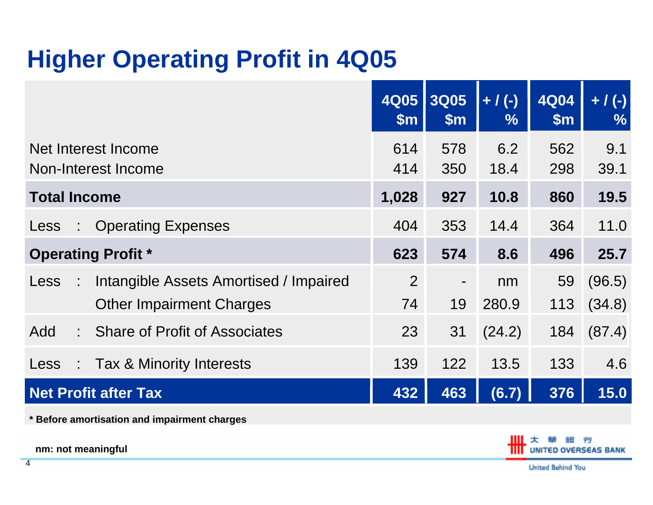### **Higher Operating Profit in 4Q05**

|                                                                                        | <b>4Q05</b><br>$\mathsf{m}$ | <b>3Q05</b><br>\$m\$           | $+ / (-)$<br>$\frac{9}{6}$ | <b>4Q04</b><br>\$m\$ | $+ / (-)$<br>$\frac{9}{6}$ |
|----------------------------------------------------------------------------------------|-----------------------------|--------------------------------|----------------------------|----------------------|----------------------------|
| Net Interest Income<br>Non-Interest Income                                             | 614<br>414                  | 578<br>350                     | 6.2<br>18.4                | 562<br>298           | 9.1<br>39.1                |
| <b>Total Income</b>                                                                    | 1,028                       | 927                            | 10.8                       | 860                  | 19.5                       |
| <b>Operating Expenses</b><br>Less<br>$\mathbb{Z}^n$                                    | 404                         | 353                            | 14.4                       | 364                  | 11.0                       |
| <b>Operating Profit *</b>                                                              | 623                         | 574                            | 8.6                        | 496                  | 25.7                       |
| Intangible Assets Amortised / Impaired<br>Less<br>÷<br><b>Other Impairment Charges</b> | $\overline{2}$<br>74        | $\overline{\phantom{a}}$<br>19 | nm<br>280.9                | 59<br>113            | (96.5)<br>(34.8)           |
| Add<br>: Share of Profit of Associates                                                 | 23                          | 31                             | (24.2)                     | 184                  | (87.4)                     |
| : Tax & Minority Interests<br>Less                                                     | 139                         | 122                            | 13.5                       | 133                  | 4.6                        |
| <b>Net Profit after Tax</b>                                                            | 432                         | 463                            | (6.7)                      | 376                  | 15.0                       |

**\* Before amortisation and impairment charges**

**nm: not meaningful**

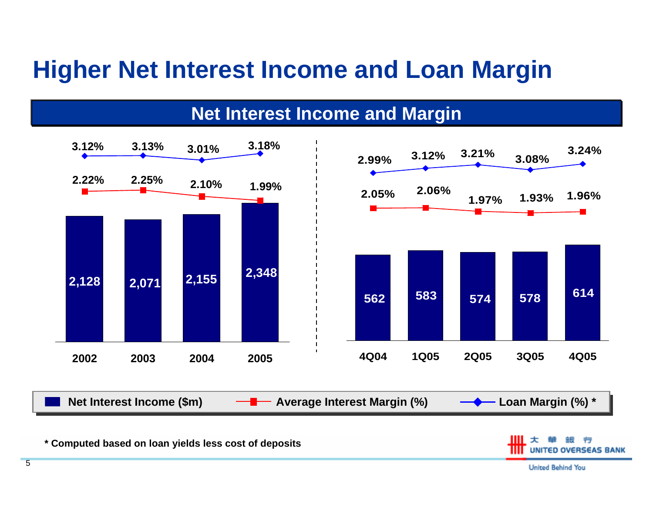### **Higher Net Interest Income and Loan Margin**

**Net Interest Income and Margin**



**\* Computed based on loan yields less cost of deposits**

United Behind You

**TED OVERSEAS BANK**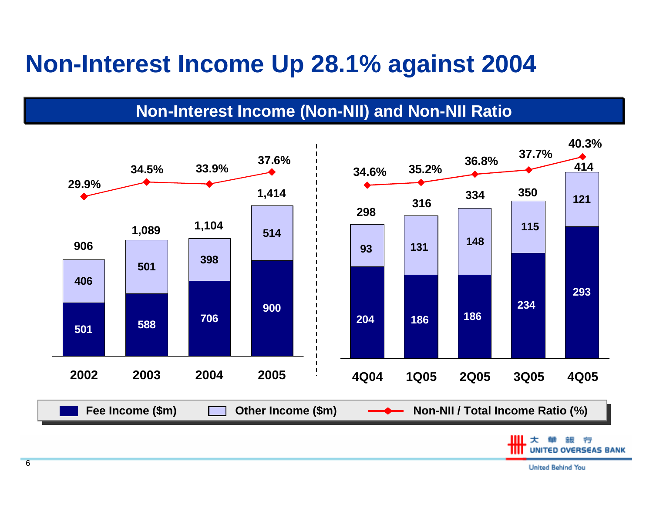### **Non-Interest Income Up 28.1% against 2004**

#### **Non-Interest Income (Non-NII) and Non-NII Ratio**

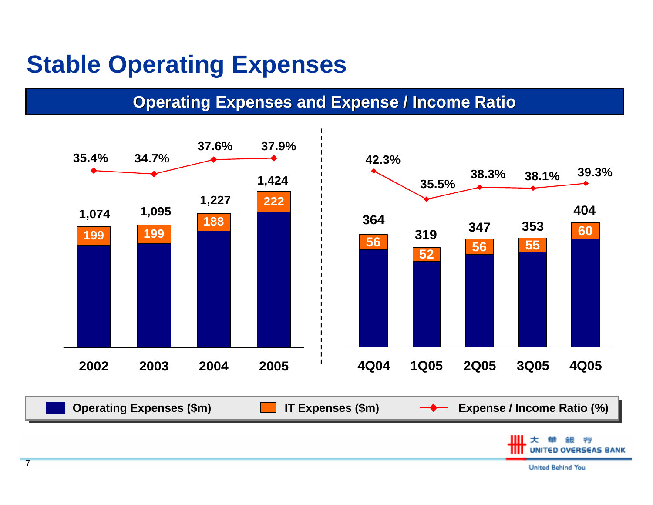### **Stable Operating Expenses**

**Operating Expenses and Expense / Income Ratio** 



United Behind You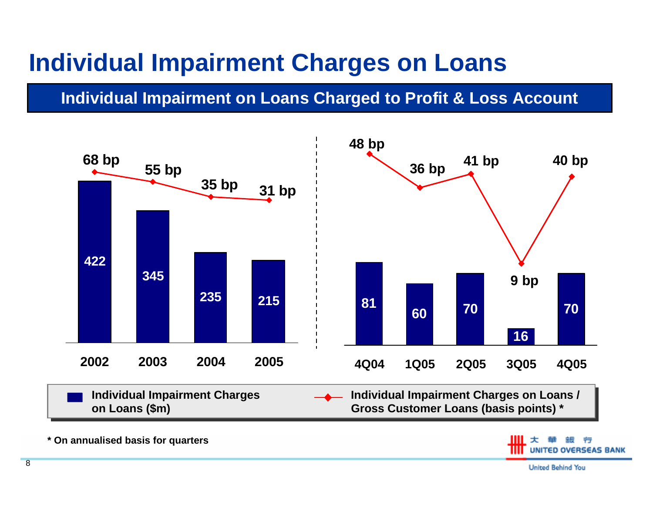### **Individual Impairment Charges on Loans**

#### **Individual Impairment on Loans Charged to Profit & Loss Account**



**\* On annualised basis for quarters**

**OVERSEAS BANK**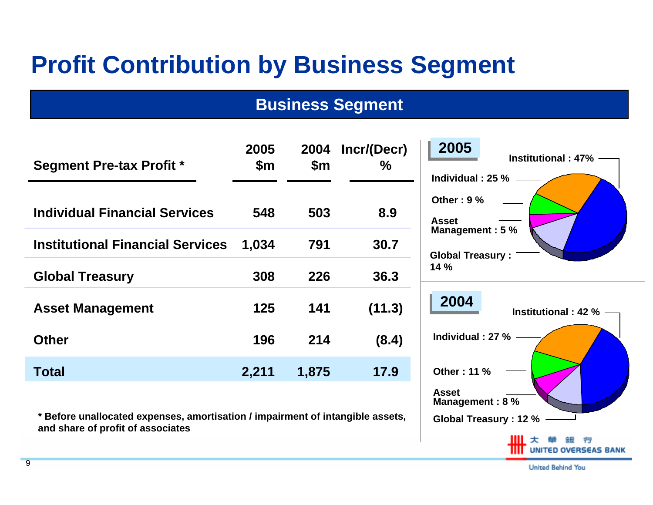### **Profit Contribution by Business Segment**

#### **Business Segment**

| <b>Segment Pre-tax Profit *</b>         | 2005<br>$\mathsf{Sm}$ | 2004<br>$\mathsf{Sm}$ | Incr/(Decr)<br>$\%$ | 2005<br><b>Institutional: 47%</b><br>Individual: 25 % |
|-----------------------------------------|-----------------------|-----------------------|---------------------|-------------------------------------------------------|
| <b>Individual Financial Services</b>    | 548                   | 503                   | 8.9                 | Other: $9%$<br><b>Asset</b>                           |
| <b>Institutional Financial Services</b> | 1.034                 | 791                   | 30.7                | Management: 5 %<br><b>Global Treasury:</b>            |
| <b>Global Treasury</b>                  | 308                   | 226                   | 36.3                | 14%                                                   |
| <b>Asset Management</b>                 | 125                   | 141                   | (11.3)              | 2004<br><b>Institutional: 42 %</b>                    |
| <b>Other</b>                            | 196                   | 214                   | (8.4)               | Individual: 27 %                                      |
| <b>Total</b>                            | 2,211                 | 1,875                 | 17.9                | <b>Other: 11 %</b>                                    |

**\* Before unallocated expenses, amortisation / impairment of intangible assets, and share of profit of associates**

| Global Treasury : 12 % - |  |                           |                                 |  |
|--------------------------|--|---------------------------|---------------------------------|--|
|                          |  | Ⅲ 大 華 銀 行                 | <b>TITT</b> UNITED OVERSEAS BAN |  |
|                          |  | <b>Linited Robind You</b> |                                 |  |

**Asset**

**Management : 8 %**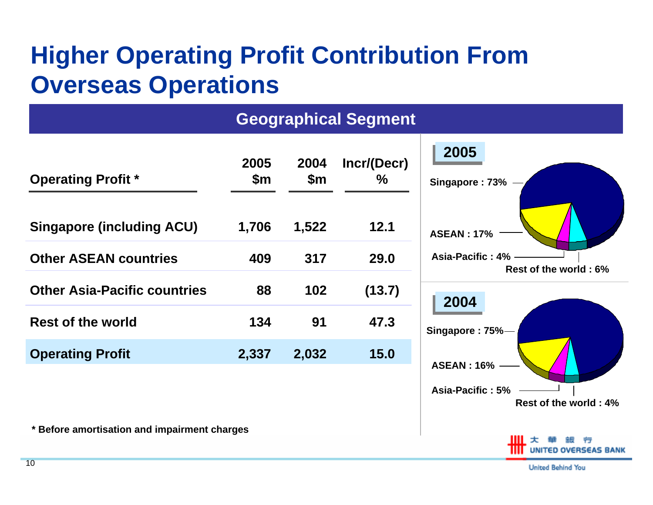### **Higher Operating Profit Contribution From Overseas Operations**

#### **Geographical Segment**

| <b>Operating Profit *</b>           | 2005<br>\$m | 2004<br>$\mathsf{Sm}$ | Incr/(Decr)<br>$\%$ |
|-------------------------------------|-------------|-----------------------|---------------------|
| <b>Singapore (including ACU)</b>    | 1,706       | 1,522                 | 12.1                |
| <b>Other ASEAN countries</b>        | 409         | 317                   | 29.0                |
| <b>Other Asia-Pacific countries</b> | 88          | 102                   | (13.7)              |
| <b>Rest of the world</b>            | 134         | 91                    | 47.3                |
| <b>Operating Profit</b>             | 2,337       | 2,032                 | 15.0                |

**\* Before amortisation and impairment charges**

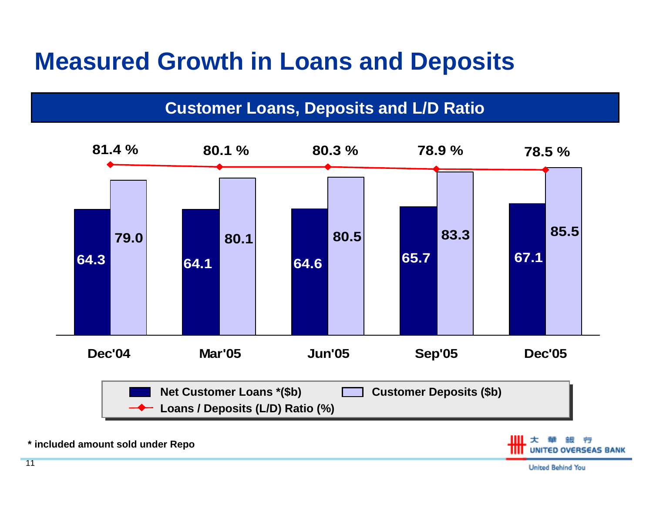### **Measured Growth in Loans and Deposits**

#### **Customer Loans, Deposits and L/D Ratio**



**\* included amount sold under Repo**

RSEAS BANK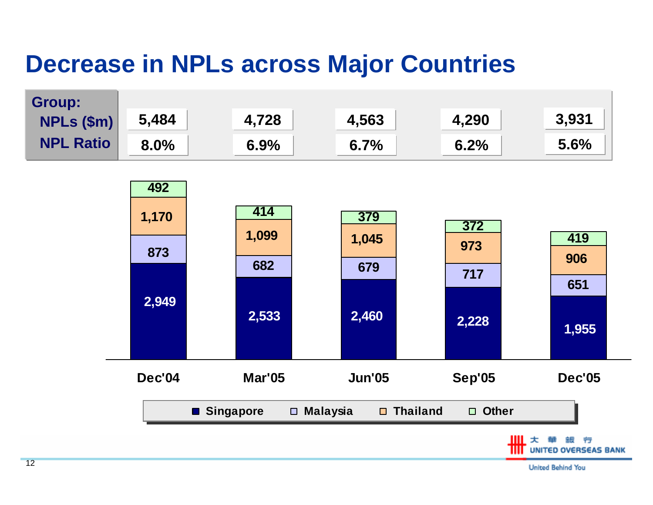### **Decrease in NPLs across Major Countries**

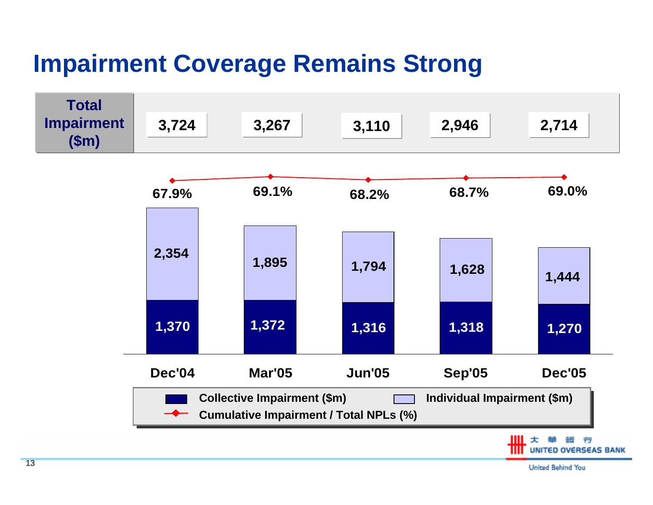## **Impairment Coverage Remains Strong**

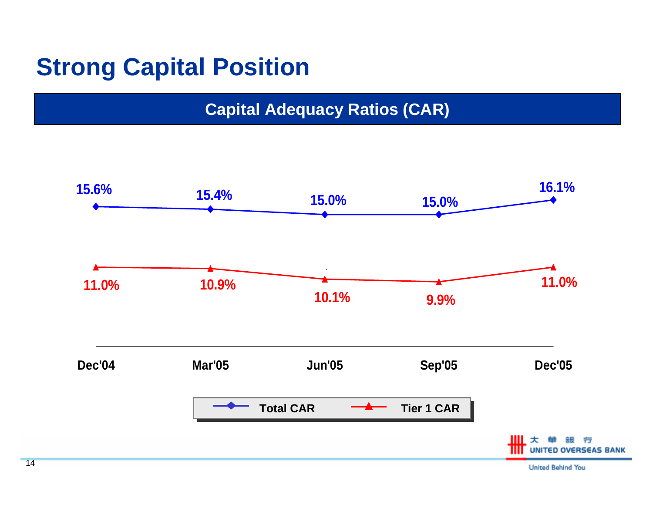### **Strong Capital Position**

#### **Capital Adequacy Ratios (CAR)**

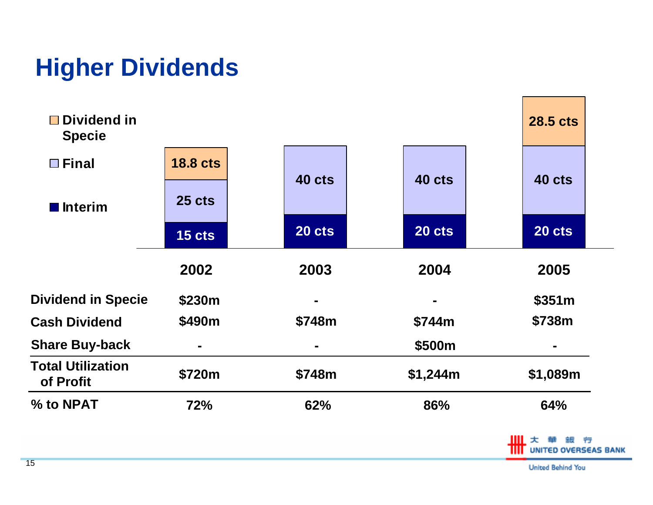### **Higher Dividends**